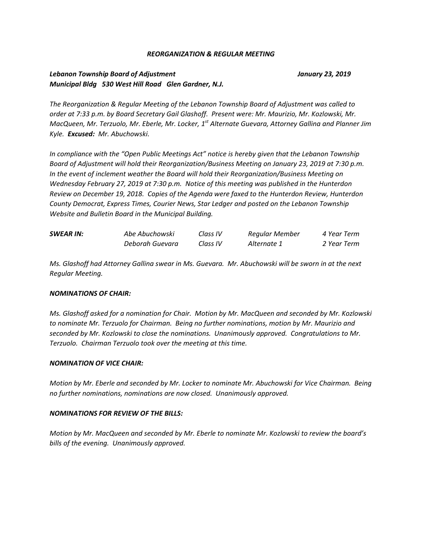## *REORGANIZATION & REGULAR MEETING*

## *Lebanon Township Board of Adjustment January 23, 2019 Municipal Bldg 530 West Hill Road Glen Gardner, N.J.*

*The Reorganization & Regular Meeting of the Lebanon Township Board of Adjustment was called to order at 7:33 p.m. by Board Secretary Gail Glashoff. Present were: Mr. Maurizio, Mr. Kozlowski, Mr. MacQueen, Mr. Terzuolo, Mr. Eberle, Mr. Locker, 1st Alternate Guevara, Attorney Gallina and Planner Jim Kyle. Excused: Mr. Abuchowski.*

*In compliance with the "Open Public Meetings Act" notice is hereby given that the Lebanon Township Board of Adjustment will hold their Reorganization/Business Meeting on January 23, 2019 at 7:30 p.m. In the event of inclement weather the Board will hold their Reorganization/Business Meeting on Wednesday February 27, 2019 at 7:30 p.m. Notice of this meeting was published in the Hunterdon Review on December 19, 2018. Copies of the Agenda were faxed to the Hunterdon Review, Hunterdon County Democrat, Express Times, Courier News, Star Ledger and posted on the Lebanon Township Website and Bulletin Board in the Municipal Building.*

| <b>SWEAR IN:</b> | Abe Abuchowski  | Class IV | Regular Member | 4 Year Term |
|------------------|-----------------|----------|----------------|-------------|
|                  | Deborah Guevara | Class IV | Alternate 1    | 2 Year Term |

*Ms. Glashoff had Attorney Gallina swear in Ms. Guevara. Mr. Abuchowski will be sworn in at the next Regular Meeting.*

## *NOMINATIONS OF CHAIR:*

*Ms. Glashoff asked for a nomination for Chair. Motion by Mr. MacQueen and seconded by Mr. Kozlowski to nominate Mr. Terzuolo for Chairman. Being no further nominations, motion by Mr. Maurizio and seconded by Mr. Kozlowski to close the nominations. Unanimously approved. Congratulations to Mr. Terzuolo. Chairman Terzuolo took over the meeting at this time.*

## *NOMINATION OF VICE CHAIR:*

*Motion by Mr. Eberle and seconded by Mr. Locker to nominate Mr. Abuchowski for Vice Chairman. Being no further nominations, nominations are now closed. Unanimously approved.*

## *NOMINATIONS FOR REVIEW OF THE BILLS:*

*Motion by Mr. MacQueen and seconded by Mr. Eberle to nominate Mr. Kozlowski to review the board's bills of the evening. Unanimously approved.*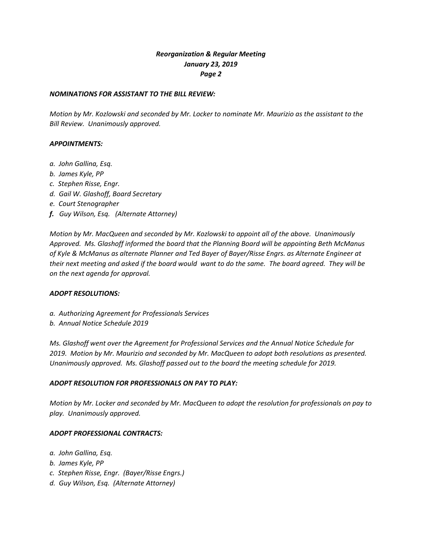# *Reorganization & Regular Meeting January 23, 2019 Page 2*

## *NOMINATIONS FOR ASSISTANT TO THE BILL REVIEW:*

*Motion by Mr. Kozlowski and seconded by Mr. Locker to nominate Mr. Maurizio as the assistant to the Bill Review. Unanimously approved.*

## *APPOINTMENTS:*

- *a. John Gallina, Esq.*
- *b. James Kyle, PP*
- *c. Stephen Risse, Engr.*
- *d. Gail W. Glashoff, Board Secretary*
- *e. Court Stenographer*
- *f. Guy Wilson, Esq. (Alternate Attorney)*

*Motion by Mr. MacQueen and seconded by Mr. Kozlowski to appoint all of the above. Unanimously Approved. Ms. Glashoff informed the board that the Planning Board will be appointing Beth McManus of Kyle & McManus as alternate Planner and Ted Bayer of Bayer/Risse Engrs. as Alternate Engineer at their next meeting and asked if the board would want to do the same. The board agreed. They will be on the next agenda for approval.*

## *ADOPT RESOLUTIONS:*

- *a. Authorizing Agreement for Professionals Services*
- *b. Annual Notice Schedule 2019*

*Ms. Glashoff went over the Agreement for Professional Services and the Annual Notice Schedule for 2019. Motion by Mr. Maurizio and seconded by Mr. MacQueen to adopt both resolutions as presented. Unanimously approved. Ms. Glashoff passed out to the board the meeting schedule for 2019.*

## *ADOPT RESOLUTION FOR PROFESSIONALS ON PAY TO PLAY:*

*Motion by Mr. Locker and seconded by Mr. MacQueen to adopt the resolution for professionals on pay to play. Unanimously approved.*

## *ADOPT PROFESSIONAL CONTRACTS:*

- *a. John Gallina, Esq.*
- *b. James Kyle, PP*
- *c. Stephen Risse, Engr. (Bayer/Risse Engrs.)*
- *d. Guy Wilson, Esq. (Alternate Attorney)*